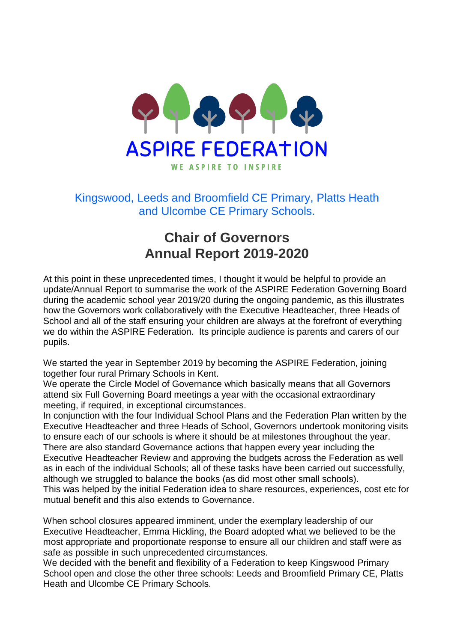

## Kingswood, Leeds and Broomfield CE Primary, Platts Heath and Ulcombe CE Primary Schools.

## **Chair of Governors Annual Report 2019-2020**

At this point in these unprecedented times, I thought it would be helpful to provide an update/Annual Report to summarise the work of the ASPIRE Federation Governing Board during the academic school year 2019/20 during the ongoing pandemic, as this illustrates how the Governors work collaboratively with the Executive Headteacher, three Heads of School and all of the staff ensuring your children are always at the forefront of everything we do within the ASPIRE Federation. Its principle audience is parents and carers of our pupils.

We started the year in September 2019 by becoming the ASPIRE Federation, joining together four rural Primary Schools in Kent.

We operate the Circle Model of Governance which basically means that all Governors attend six Full Governing Board meetings a year with the occasional extraordinary meeting, if required, in exceptional circumstances.

In conjunction with the four Individual School Plans and the Federation Plan written by the Executive Headteacher and three Heads of School, Governors undertook monitoring visits to ensure each of our schools is where it should be at milestones throughout the year. There are also standard Governance actions that happen every year including the Executive Headteacher Review and approving the budgets across the Federation as well as in each of the individual Schools; all of these tasks have been carried out successfully, although we struggled to balance the books (as did most other small schools). This was helped by the initial Federation idea to share resources, experiences, cost etc for mutual benefit and this also extends to Governance.

When school closures appeared imminent, under the exemplary leadership of our Executive Headteacher, Emma Hickling, the Board adopted what we believed to be the most appropriate and proportionate response to ensure all our children and staff were as safe as possible in such unprecedented circumstances.

We decided with the benefit and flexibility of a Federation to keep Kingswood Primary School open and close the other three schools: Leeds and Broomfield Primary CE, Platts Heath and Ulcombe CE Primary Schools.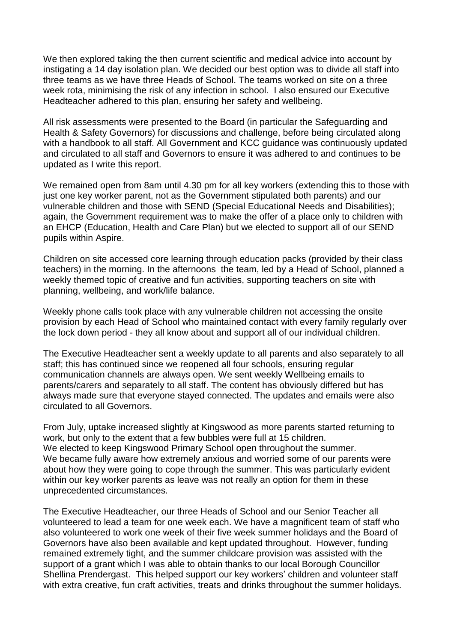We then explored taking the then current scientific and medical advice into account by instigating a 14 day isolation plan. We decided our best option was to divide all staff into three teams as we have three Heads of School. The teams worked on site on a three week rota, minimising the risk of any infection in school. I also ensured our Executive Headteacher adhered to this plan, ensuring her safety and wellbeing.

All risk assessments were presented to the Board (in particular the Safeguarding and Health & Safety Governors) for discussions and challenge, before being circulated along with a handbook to all staff. All Government and KCC guidance was continuously updated and circulated to all staff and Governors to ensure it was adhered to and continues to be updated as I write this report.

We remained open from 8am until 4.30 pm for all key workers (extending this to those with just one key worker parent, not as the Government stipulated both parents) and our vulnerable children and those with SEND (Special Educational Needs and Disabilities); again, the Government requirement was to make the offer of a place only to children with an EHCP (Education, Health and Care Plan) but we elected to support all of our SEND pupils within Aspire.

Children on site accessed core learning through education packs (provided by their class teachers) in the morning. In the afternoons the team, led by a Head of School, planned a weekly themed topic of creative and fun activities, supporting teachers on site with planning, wellbeing, and work/life balance.

Weekly phone calls took place with any vulnerable children not accessing the onsite provision by each Head of School who maintained contact with every family regularly over the lock down period - they all know about and support all of our individual children.

The Executive Headteacher sent a weekly update to all parents and also separately to all staff; this has continued since we reopened all four schools, ensuring regular communication channels are always open. We sent weekly Wellbeing emails to parents/carers and separately to all staff. The content has obviously differed but has always made sure that everyone stayed connected. The updates and emails were also circulated to all Governors.

From July, uptake increased slightly at Kingswood as more parents started returning to work, but only to the extent that a few bubbles were full at 15 children. We elected to keep Kingswood Primary School open throughout the summer. We became fully aware how extremely anxious and worried some of our parents were about how they were going to cope through the summer. This was particularly evident within our key worker parents as leave was not really an option for them in these unprecedented circumstances.

The Executive Headteacher, our three Heads of School and our Senior Teacher all volunteered to lead a team for one week each. We have a magnificent team of staff who also volunteered to work one week of their five week summer holidays and the Board of Governors have also been available and kept updated throughout. However, funding remained extremely tight, and the summer childcare provision was assisted with the support of a grant which I was able to obtain thanks to our local Borough Councillor Shellina Prendergast. This helped support our key workers' children and volunteer staff with extra creative, fun craft activities, treats and drinks throughout the summer holidays.